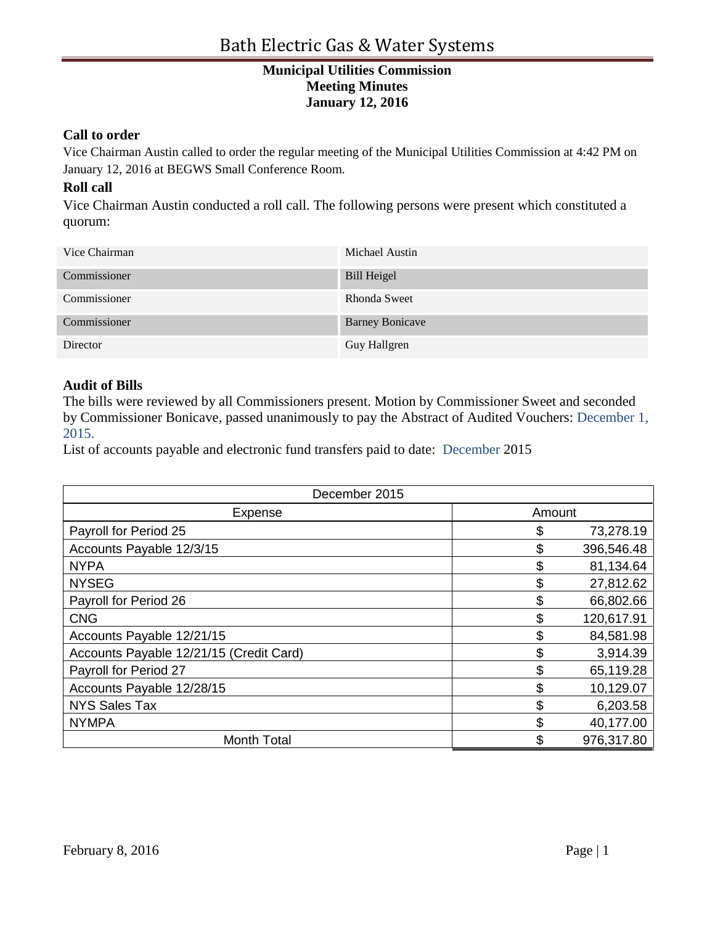#### **Call to order**

Vice Chairman Austin called to order the regular meeting of the Municipal Utilities Commission at 4:42 PM on January 12, 2016 at BEGWS Small Conference Room.

## **Roll call**

Vice Chairman Austin conducted a roll call. The following persons were present which constituted a quorum:

| Vice Chairman | Michael Austin         |
|---------------|------------------------|
| Commissioner  | <b>Bill Heigel</b>     |
| Commissioner  | Rhonda Sweet           |
| Commissioner  | <b>Barney Bonicave</b> |
| Director      | Guy Hallgren           |

#### **Audit of Bills**

The bills were reviewed by all Commissioners present. Motion by Commissioner Sweet and seconded by Commissioner Bonicave, passed unanimously to pay the Abstract of Audited Vouchers: December 1, 2015.

List of accounts payable and electronic fund transfers paid to date: December 2015

| December 2015                           |        |            |
|-----------------------------------------|--------|------------|
| <b>Expense</b>                          | Amount |            |
| Payroll for Period 25                   | \$     | 73,278.19  |
| Accounts Payable 12/3/15                | \$     | 396,546.48 |
| <b>NYPA</b>                             | \$     | 81,134.64  |
| <b>NYSEG</b>                            | \$     | 27,812.62  |
| Payroll for Period 26                   | \$     | 66,802.66  |
| <b>CNG</b>                              | \$     | 120,617.91 |
| Accounts Payable 12/21/15               | \$     | 84,581.98  |
| Accounts Payable 12/21/15 (Credit Card) | \$     | 3,914.39   |
| Payroll for Period 27                   | \$     | 65,119.28  |
| Accounts Payable 12/28/15               | \$     | 10,129.07  |
| <b>NYS Sales Tax</b>                    | \$     | 6,203.58   |
| <b>NYMPA</b>                            | \$     | 40,177.00  |
| <b>Month Total</b>                      | \$     | 976,317.80 |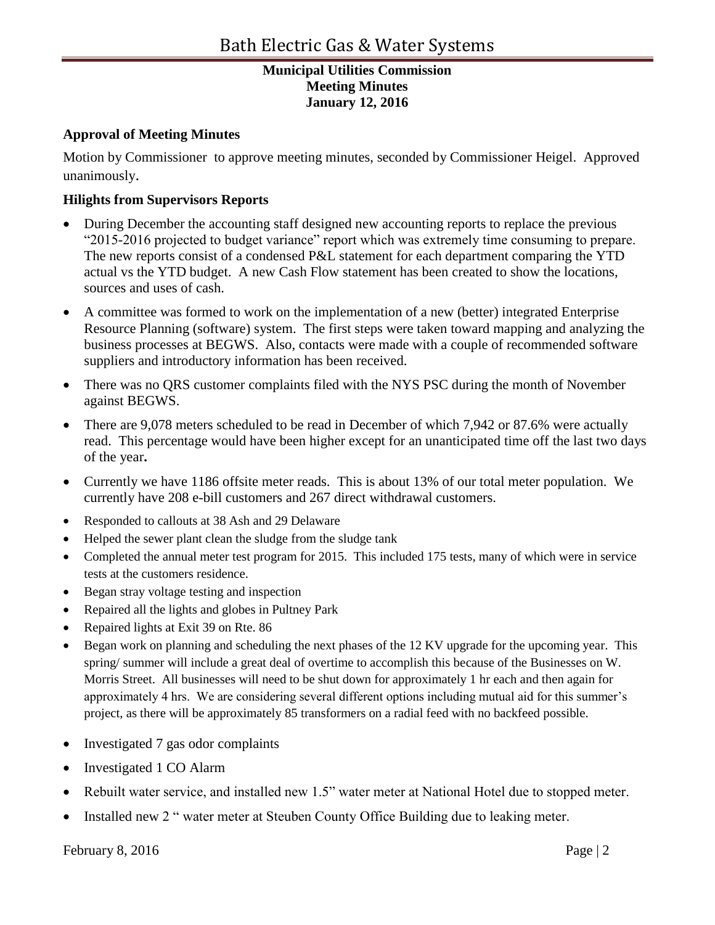## **Approval of Meeting Minutes**

Motion by Commissioner to approve meeting minutes, seconded by Commissioner Heigel. Approved unanimously.

# **Hilights from Supervisors Reports**

- During December the accounting staff designed new accounting reports to replace the previous "2015-2016 projected to budget variance" report which was extremely time consuming to prepare. The new reports consist of a condensed P&L statement for each department comparing the YTD actual vs the YTD budget. A new Cash Flow statement has been created to show the locations, sources and uses of cash.
- A committee was formed to work on the implementation of a new (better) integrated Enterprise Resource Planning (software) system. The first steps were taken toward mapping and analyzing the business processes at BEGWS. Also, contacts were made with a couple of recommended software suppliers and introductory information has been received.
- There was no QRS customer complaints filed with the NYS PSC during the month of November against BEGWS.
- There are 9,078 meters scheduled to be read in December of which 7,942 or 87.6% were actually read. This percentage would have been higher except for an unanticipated time off the last two days of the year**.**
- Currently we have 1186 offsite meter reads. This is about 13% of our total meter population. We currently have 208 e-bill customers and 267 direct withdrawal customers.
- Responded to callouts at 38 Ash and 29 Delaware
- Helped the sewer plant clean the sludge from the sludge tank
- Completed the annual meter test program for 2015. This included 175 tests, many of which were in service tests at the customers residence.
- Began stray voltage testing and inspection
- Repaired all the lights and globes in Pultney Park
- Repaired lights at Exit 39 on Rte. 86
- Began work on planning and scheduling the next phases of the 12 KV upgrade for the upcoming year. This spring/ summer will include a great deal of overtime to accomplish this because of the Businesses on W. Morris Street. All businesses will need to be shut down for approximately 1 hr each and then again for approximately 4 hrs. We are considering several different options including mutual aid for this summer's project, as there will be approximately 85 transformers on a radial feed with no backfeed possible.
- Investigated 7 gas odor complaints
- Investigated 1 CO Alarm
- Rebuilt water service, and installed new 1.5" water meter at National Hotel due to stopped meter.
- Installed new 2 " water meter at Steuben County Office Building due to leaking meter.

February 8, 2016 Page | 2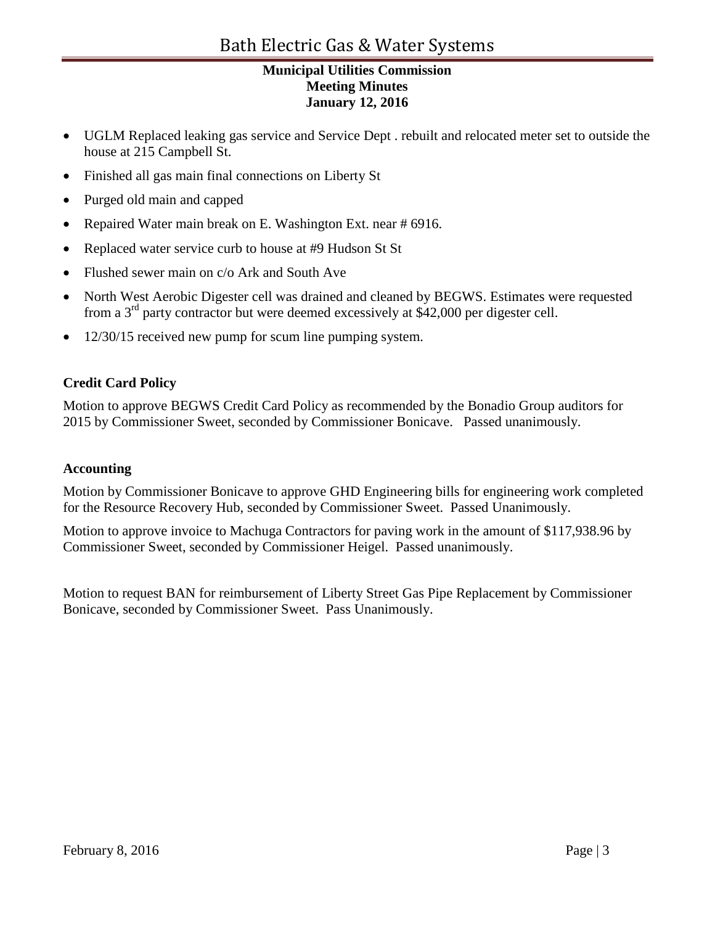# Bath Electric Gas & Water Systems

# **Municipal Utilities Commission Meeting Minutes January 12, 2016**

- UGLM Replaced leaking gas service and Service Dept . rebuilt and relocated meter set to outside the house at 215 Campbell St.
- Finished all gas main final connections on Liberty St
- Purged old main and capped
- Repaired Water main break on E. Washington Ext. near # 6916.
- Replaced water service curb to house at #9 Hudson St St
- Flushed sewer main on c/o Ark and South Ave
- North West Aerobic Digester cell was drained and cleaned by BEGWS. Estimates were requested from a 3rd party contractor but were deemed excessively at \$42,000 per digester cell.
- 12/30/15 received new pump for scum line pumping system.

# **Credit Card Policy**

Motion to approve BEGWS Credit Card Policy as recommended by the Bonadio Group auditors for 2015 by Commissioner Sweet, seconded by Commissioner Bonicave. Passed unanimously.

## **Accounting**

Motion by Commissioner Bonicave to approve GHD Engineering bills for engineering work completed for the Resource Recovery Hub, seconded by Commissioner Sweet. Passed Unanimously.

Motion to approve invoice to Machuga Contractors for paving work in the amount of \$117,938.96 by Commissioner Sweet, seconded by Commissioner Heigel. Passed unanimously.

Motion to request BAN for reimbursement of Liberty Street Gas Pipe Replacement by Commissioner Bonicave, seconded by Commissioner Sweet. Pass Unanimously.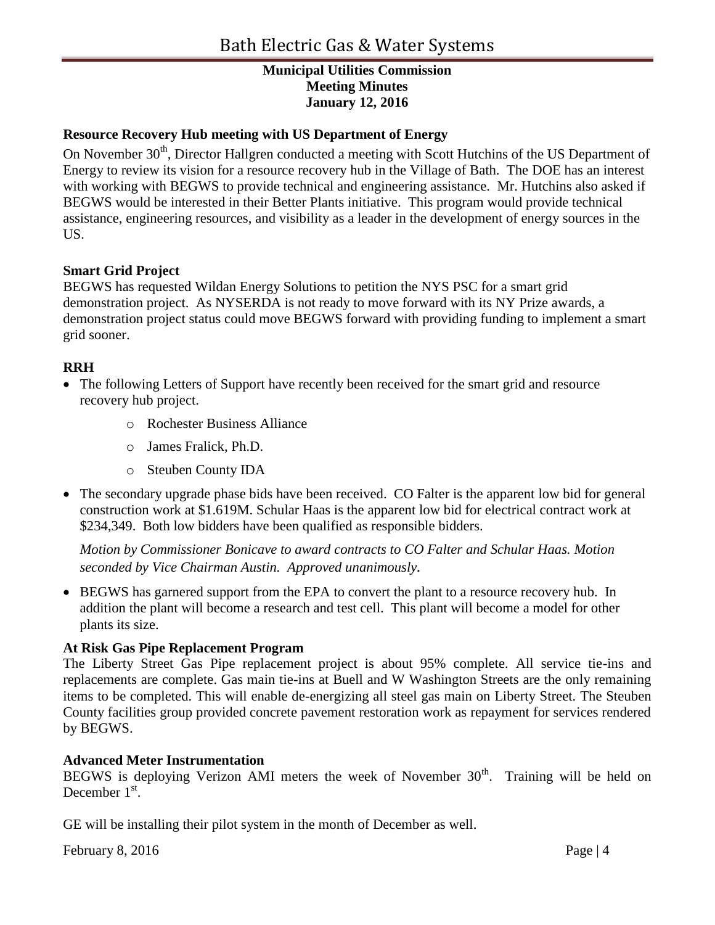# **Resource Recovery Hub meeting with US Department of Energy**

On November 30<sup>th</sup>, Director Hallgren conducted a meeting with Scott Hutchins of the US Department of Energy to review its vision for a resource recovery hub in the Village of Bath. The DOE has an interest with working with BEGWS to provide technical and engineering assistance. Mr. Hutchins also asked if BEGWS would be interested in their Better Plants initiative. This program would provide technical assistance, engineering resources, and visibility as a leader in the development of energy sources in the US.

#### **Smart Grid Project**

BEGWS has requested Wildan Energy Solutions to petition the NYS PSC for a smart grid demonstration project. As NYSERDA is not ready to move forward with its NY Prize awards, a demonstration project status could move BEGWS forward with providing funding to implement a smart grid sooner.

## **RRH**

- The following Letters of Support have recently been received for the smart grid and resource recovery hub project.
	- o Rochester Business Alliance
	- o James Fralick, Ph.D.
	- o Steuben County IDA
- The secondary upgrade phase bids have been received. CO Falter is the apparent low bid for general construction work at \$1.619M. Schular Haas is the apparent low bid for electrical contract work at \$234,349. Both low bidders have been qualified as responsible bidders.

*Motion by Commissioner Bonicave to award contracts to CO Falter and Schular Haas. Motion seconded by Vice Chairman Austin. Approved unanimously.* 

• BEGWS has garnered support from the EPA to convert the plant to a resource recovery hub. In addition the plant will become a research and test cell. This plant will become a model for other plants its size.

#### **At Risk Gas Pipe Replacement Program**

The Liberty Street Gas Pipe replacement project is about 95% complete. All service tie-ins and replacements are complete. Gas main tie-ins at Buell and W Washington Streets are the only remaining items to be completed. This will enable de-energizing all steel gas main on Liberty Street. The Steuben County facilities group provided concrete pavement restoration work as repayment for services rendered by BEGWS.

#### **Advanced Meter Instrumentation**

BEGWS is deploying Verizon AMI meters the week of November  $30<sup>th</sup>$ . Training will be held on December  $1<sup>st</sup>$ .

GE will be installing their pilot system in the month of December as well.

February 8, 2016 Page | 4